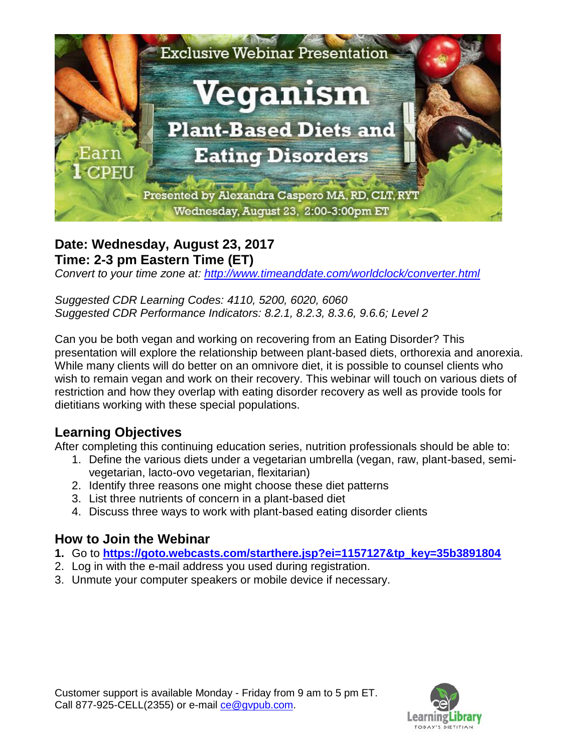

#### **Date: Wednesday, August 23, 2017 Time: 2-3 pm Eastern Time (ET)**

*Convert to your time zone at:<http://www.timeanddate.com/worldclock/converter.html>*

*Suggested CDR Learning Codes: 4110, 5200, 6020, 6060 Suggested CDR Performance Indicators: 8.2.1, 8.2.3, 8.3.6, 9.6.6; Level 2*

Can you be both vegan and working on recovering from an Eating Disorder? This presentation will explore the relationship between plant-based diets, orthorexia and anorexia. While many clients will do better on an omnivore diet, it is possible to counsel clients who wish to remain vegan and work on their recovery. This webinar will touch on various diets of restriction and how they overlap with eating disorder recovery as well as provide tools for dietitians working with these special populations.

# **Learning Objectives**

After completing this continuing education series, nutrition professionals should be able to:

- 1. Define the various diets under a vegetarian umbrella (vegan, raw, plant-based, semivegetarian, lacto-ovo vegetarian, flexitarian)
- 2. Identify three reasons one might choose these diet patterns
- 3. List three nutrients of concern in a plant-based diet
- 4. Discuss three ways to work with plant-based eating disorder clients

### **How to Join the Webinar**

- **1.** Go to **[https://goto.webcasts.com/starthere.jsp?ei=1157127&tp\\_key=35b3891804](https://goto.webcasts.com/starthere.jsp?ei=1157127&tp_key=35b3891804)**
- 2. Log in with the e-mail address you used during registration.
- 3. Unmute your computer speakers or mobile device if necessary.